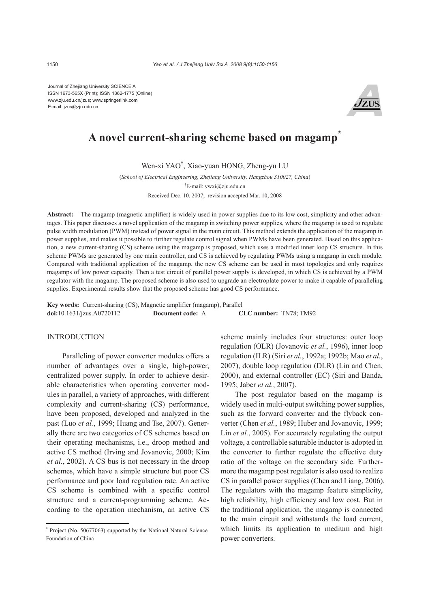Journal of Zhejiang University SCIENCE A ISSN 1673-565X (Print); ISSN 1862-1775 (Online) www.zju.edu.cn/jzus; www.springerlink.com E-mail: jzus@zju.edu.cn



# **A novel current-sharing scheme based on magamp\***

Wen-xi YAO† , Xiao-yuan HONG, Zheng-yu LU

(*School of Electrical Engineering, Zhejiang University, Hangzhou 310027, China*) † E-mail: ywxi@zju.edu.cn Received Dec. 10, 2007; revision accepted Mar. 10, 2008

**Abstract:** The magamp (magnetic amplifier) is widely used in power supplies due to its low cost, simplicity and other advantages. This paper discusses a novel application of the magamp in switching power supplies, where the magamp is used to regulate pulse width modulation (PWM) instead of power signal in the main circuit. This method extends the application of the magamp in power supplies, and makes it possible to further regulate control signal when PWMs have been generated. Based on this application, a new current-sharing (CS) scheme using the magamp is proposed, which uses a modified inner loop CS structure. In this scheme PWMs are generated by one main controller, and CS is achieved by regulating PWMs using a magamp in each module. Compared with traditional application of the magamp, the new CS scheme can be used in most topologies and only requires magamps of low power capacity. Then a test circuit of parallel power supply is developed, in which CS is achieved by a PWM regulator with the magamp. The proposed scheme is also used to upgrade an electroplate power to make it capable of paralleling supplies. Experimental results show that the proposed scheme has good CS performance.

**Key words:** Current-sharing (CS), Magnetic amplifier (magamp), Parallel **doi:**10.1631/jzus.A0720112 **Document code:** A **CLC number:** TN78; TM92

# INTRODUCTION

Paralleling of power converter modules offers a number of advantages over a single, high-power, centralized power supply. In order to achieve desirable characteristics when operating converter modules in parallel, a variety of approaches, with different complexity and current-sharing (CS) performance, have been proposed, developed and analyzed in the past (Luo *et al.*, 1999; Huang and Tse, 2007). Generally there are two categories of CS schemes based on their operating mechanisms, i.e., droop method and active CS method (Irving and Jovanovic, 2000; Kim *et al.*, 2002). A CS bus is not necessary in the droop schemes, which have a simple structure but poor CS performance and poor load regulation rate. An active CS scheme is combined with a specific control structure and a current-programming scheme. According to the operation mechanism, an active CS

scheme mainly includes four structures: outer loop regulation (OLR) (Jovanovic *et al.*, 1996), inner loop regulation (ILR) (Siri *et al.*, 1992a; 1992b; Mao *et al.*, 2007), double loop regulation (DLR) (Lin and Chen, 2000), and external controller (EC) (Siri and Banda, 1995; Jaber *et al.*, 2007).

The post regulator based on the magamp is widely used in multi-output switching power supplies, such as the forward converter and the flyback converter (Chen *et al.*, 1989; Huber and Jovanovic, 1999; Lin *et al.*, 2005). For accurately regulating the output voltage, a controllable saturable inductor is adopted in the converter to further regulate the effective duty ratio of the voltage on the secondary side. Furthermore the magamp post regulator is also used to realize CS in parallel power supplies (Chen and Liang, 2006). The regulators with the magamp feature simplicity, high reliability, high efficiency and low cost. But in the traditional application, the magamp is connected to the main circuit and withstands the load current, which limits its application to medium and high power converters.

<sup>\*</sup> Project (No. 50677063) supported by the National Natural Science Foundation of China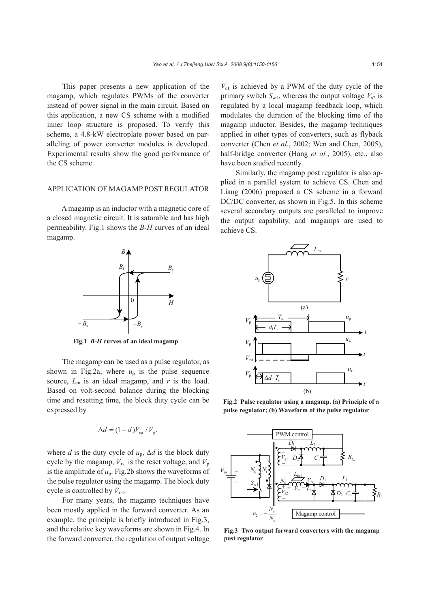This paper presents a new application of the magamp, which regulates PWMs of the converter instead of power signal in the main circuit. Based on this application, a new CS scheme with a modified inner loop structure is proposed. To verify this scheme, a 4.8-kW electroplate power based on paralleling of power converter modules is developed. Experimental results show the good performance of the CS scheme.

## APPLICATION OF MAGAMP POST REGULATOR

A magamp is an inductor with a magnetic core of a closed magnetic circuit. It is saturable and has high permeability. Fig.1 shows the *B-H* curves of an ideal magamp.



**Fig.1** *B***-***H* **curves of an ideal magamp**

The magamp can be used as a pulse regulator, as shown in Fig.2a, where  $u_p$  is the pulse sequence source,  $L_m$  is an ideal magamp, and  $r$  is the load. Based on volt-second balance during the blocking time and resetting time, the block duty cycle can be expressed by

$$
\Delta d = (1 - d)V_{\text{rst}} / V_{\text{p}},
$$

where *d* is the duty cycle of  $u_p$ ,  $\Delta d$  is the block duty cycle by the magamp,  $V_{\text{rst}}$  is the reset voltage, and  $V_{\text{p}}$ is the amplitude of  $u_p$ . Fig.2b shows the waveforms of the pulse regulator using the magamp. The block duty cycle is controlled by  $V_{\text{rst}}$ .

For many years, the magamp techniques have been mostly applied in the forward converter. As an example, the principle is briefly introduced in Fig.3, and the relative key waveforms are shown in Fig.4. In the forward converter, the regulation of output voltage

 $V_{s1}$  is achieved by a PWM of the duty cycle of the primary switch  $S_{w1}$ , whereas the output voltage  $V_{s2}$  is regulated by a local magamp feedback loop, which modulates the duration of the blocking time of the magamp inductor. Besides, the magamp techniques applied in other types of converters, such as flyback converter (Chen *et al*., 2002; Wen and Chen, 2005), half-bridge converter (Hang *et al.*, 2005), etc., also have been studied recently.

Similarly, the magamp post regulator is also applied in a parallel system to achieve CS. Chen and Liang (2006) proposed a CS scheme in a forward DC/DC converter, as shown in Fig.5. In this scheme several secondary outputs are paralleled to improve the output capability, and magamps are used to achieve CS.



**Fig.2 Pulse regulator using a magamp. (a) Principle of a pulse regulator; (b) Waveform of the pulse regulator** 



**Fig.3 Two output forward converters with the magamp post regulator**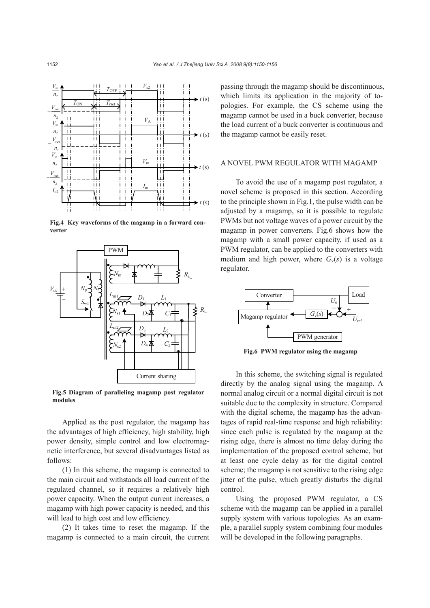

**Fig.4 Key waveforms of the magamp in a forward converter**



**Fig.5 Diagram of paralleling magamp post regulator modules**

Applied as the post regulator, the magamp has the advantages of high efficiency, high stability, high power density, simple control and low electromagnetic interference, but several disadvantages listed as follows:

(1) In this scheme, the magamp is connected to the main circuit and withstands all load current of the regulated channel, so it requires a relatively high power capacity. When the output current increases, a magamp with high power capacity is needed, and this will lead to high cost and low efficiency.

(2) It takes time to reset the magamp. If the magamp is connected to a main circuit, the current passing through the magamp should be discontinuous, which limits its application in the majority of topologies. For example, the CS scheme using the magamp cannot be used in a buck converter, because the load current of a buck converter is continuous and the magamp cannot be easily reset.

# A NOVEL PWM REGULATOR WITH MAGAMP

To avoid the use of a magamp post regulator, a novel scheme is proposed in this section. According to the principle shown in Fig.1, the pulse width can be adjusted by a magamp, so it is possible to regulate PWMs but not voltage waves of a power circuit by the magamp in power converters. Fig.6 shows how the magamp with a small power capacity, if used as a PWM regulator, can be applied to the converters with medium and high power, where  $G_v(s)$  is a voltage regulator.



**Fig.6 PWM regulator using the magamp**

In this scheme, the switching signal is regulated directly by the analog signal using the magamp. A normal analog circuit or a normal digital circuit is not suitable due to the complexity in structure. Compared with the digital scheme, the magamp has the advantages of rapid real-time response and high reliability: since each pulse is regulated by the magamp at the rising edge, there is almost no time delay during the implementation of the proposed control scheme, but at least one cycle delay as for the digital control scheme; the magamp is not sensitive to the rising edge jitter of the pulse, which greatly disturbs the digital control.

Using the proposed PWM regulator, a CS scheme with the magamp can be applied in a parallel supply system with various topologies. As an example, a parallel supply system combining four modules will be developed in the following paragraphs.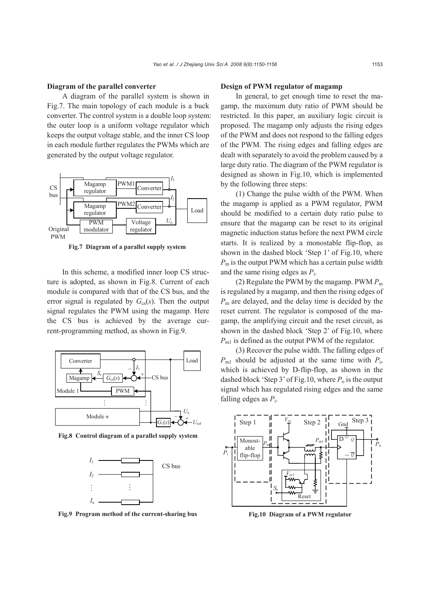#### **Diagram of the parallel converter**

A diagram of the parallel system is shown in Fig.7. The main topology of each module is a buck converter. The control system is a double loop system: the outer loop is a uniform voltage regulator which keeps the output voltage stable, and the inner CS loop in each module further regulates the PWMs which are generated by the output voltage regulator.



**Fig.7 Diagram of a parallel supply system**

In this scheme, a modified inner loop CS structure is adopted, as shown in Fig.8. Current of each module is compared with that of the CS bus, and the error signal is regulated by  $G_{cs}(s)$ . Then the output signal regulates the PWM using the magamp. Here the CS bus is achieved by the average current-programming method, as shown in Fig.9.



**Fig.8 Control diagram of a parallel supply system**



**Fig.9 Program method of the current-sharing bus Fig.10 Diagram of a PWM regulator** 

## **Design of PWM regulator of magamp**

In general, to get enough time to reset the magamp, the maximum duty ratio of PWM should be restricted. In this paper, an auxiliary logic circuit is proposed. The magamp only adjusts the rising edges of the PWM and does not respond to the falling edges of the PWM. The rising edges and falling edges are dealt with separately to avoid the problem caused by a large duty ratio. The diagram of the PWM regulator is designed as shown in Fig.10, which is implemented by the following three steps:

(1) Change the pulse width of the PWM. When the magamp is applied as a PWM regulator, PWM should be modified to a certain duty ratio pulse to ensure that the magamp can be reset to its original magnetic induction status before the next PWM circle starts. It is realized by a monostable flip-flop, as shown in the dashed block 'Step 1' of Fig.10, where *P*m is the output PWM which has a certain pulse width and the same rising edges as *P*i.

(2) Regulate the PWM by the magamp. PWM  $P_m$ is regulated by a magamp, and then the rising edges of *P*m are delayed, and the delay time is decided by the reset current. The regulator is composed of the magamp, the amplifying circuit and the reset circuit, as shown in the dashed block 'Step 2' of Fig.10, where *P*<sub>m1</sub> is defined as the output PWM of the regulator.

(3) Recover the pulse width. The falling edges of *P*m1 should be adjusted at the same time with *P*i, which is achieved by D-flip-flop, as shown in the dashed block 'Step 3' of Fig.10, where  $P_0$  is the output signal which has regulated rising edges and the same falling edges as *P*i.

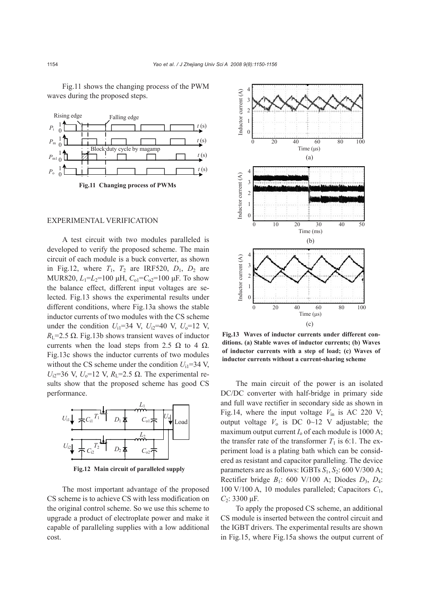



#### EXPERIMENTAL VERIFICATION

A test circuit with two modules paralleled is developed to verify the proposed scheme. The main circuit of each module is a buck converter, as shown in Fig.12, where  $T_1$ ,  $T_2$  are IRF520,  $D_1$ ,  $D_2$  are MUR820,  $L_1 = L_2 = 100 \mu H$ ,  $C_{01} = C_{02} = 100 \mu F$ . To show the balance effect, different input voltages are selected. Fig.13 shows the experimental results under different conditions, where Fig.13a shows the stable inductor currents of two modules with the CS scheme under the condition  $U_{11}=34$  V,  $U_{12}=40$  V,  $U_{0}=12$  V,  $R_{\text{L}}$ =2.5  $\Omega$ . Fig.13b shows transient waves of inductor currents when the load steps from 2.5  $\Omega$  to 4  $\Omega$ . Fig.13c shows the inductor currents of two modules without the CS scheme under the condition  $U_{11}=34$  V, *U*<sub>i2</sub>=36 V, *U*<sub>0</sub>=12 V, *R*<sub>L</sub>=2.5 Ω. The experimental results show that the proposed scheme has good CS performance.



**Fig.12 Main circuit of paralleled supply**

The most important advantage of the proposed CS scheme is to achieve CS with less modification on the original control scheme. So we use this scheme to upgrade a product of electroplate power and make it capable of paralleling supplies with a low additional cost.



**Fig.13 Waves of inductor currents under different conditions. (a) Stable waves of inductor currents; (b) Waves of inductor currents with a step of load; (c) Waves of inductor currents without a current-sharing scheme** 

The main circuit of the power is an isolated DC/DC converter with half-bridge in primary side and full wave rectifier in secondary side as shown in Fig.14, where the input voltage  $V_{\text{in}}$  is AC 220 V; output voltage  $V_0$  is DC 0~12 V adjustable; the maximum output current  $I_0$  of each module is 1000 A; the transfer rate of the transformer  $T_1$  is 6:1. The experiment load is a plating bath which can be considered as resistant and capacitor paralleling. The device parameters are as follows: IGBTs  $S_1$ ,  $S_2$ : 600 V/300 A; Rectifier bridge *B*1: 600 V/100 A; Diodes *D*3, *D*4: 100 V/100 A, 10 modules paralleled; Capacitors *C*1, *C*2: 3300 μF.

To apply the proposed CS scheme, an additional CS module is inserted between the control circuit and the IGBT drivers. The experimental results are shown in Fig.15, where Fig.15a shows the output current of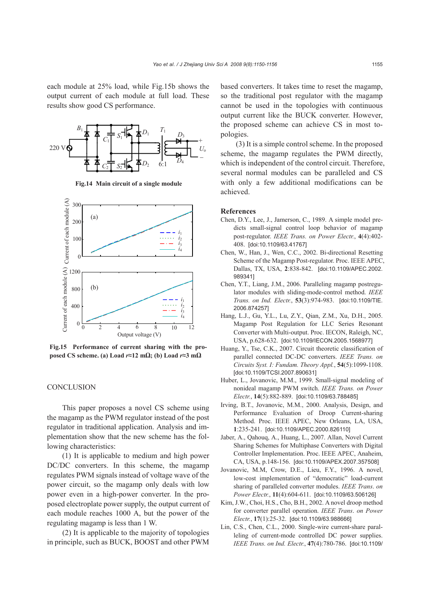each module at 25% load, while Fig.15b shows the output current of each module at full load. These results show good CS performance.



**Fig.14 Main circuit of a single module**



**Fig.15 Performance of current sharing with the proposed CS scheme. (a) Load** *r***≈12 mΩ; (b) Load** *r***≈3 mΩ**

## **CONCLUSION**

This paper proposes a novel CS scheme using the magamp as the PWM regulator instead of the post regulator in traditional application. Analysis and implementation show that the new scheme has the following characteristics:

(1) It is applicable to medium and high power DC/DC converters. In this scheme, the magamp regulates PWM signals instead of voltage wave of the power circuit, so the magamp only deals with low power even in a high-power converter. In the proposed electroplate power supply, the output current of each module reaches 1000 A, but the power of the regulating magamp is less than 1 W.

(2) It is applicable to the majority of topologies in principle, such as BUCK, BOOST and other PWM

based converters. It takes time to reset the magamp, so the traditional post regulator with the magamp cannot be used in the topologies with continuous output current like the BUCK converter. However, the proposed scheme can achieve CS in most topologies.

(3) It is a simple control scheme. In the proposed scheme, the magamp regulates the PWM directly, which is independent of the control circuit. Therefore, several normal modules can be paralleled and CS with only a few additional modifications can be achieved.

### **References**

- Chen, D.Y., Lee, J., Jamerson, C., 1989. A simple model predicts small-signal control loop behavior of magamp post-regulator. *IEEE Trans. on Power Electr.*, **4**(4):402- 408. [doi:10.1109/63.41767]
- Chen, W., Han, J., Wen, C.C., 2002. Bi-directional Resetting Scheme of the Magamp Post-regulator. Proc. IEEE APEC, Dallas, TX, USA, **2**:838-842. [doi:10.1109/APEC.2002. 989341]
- Chen, Y.T., Liang, J.M., 2006. Paralleling magamp postregulator modules with sliding-mode-control method. *IEEE Trans. on Ind. Electr.*, **53**(3):974-983. [doi:10.1109/TIE. 2006.874257]
- Hang, L.J., Gu, Y.L., Lu, Z.Y., Qian, Z.M., Xu, D.H., 2005. Magamp Post Regulation for LLC Series Resonant Converter with Multi-output. Proc. IECON, Raleigh, NC, USA, p.628-632. [doi:10.1109/IECON.2005.1568977]
- Huang, Y., Tse, C.K., 2007. Circuit theoretic classification of parallel connected DC-DC converters. *IEEE Trans. on Circuits Syst. I: Fundam. Theory Appl.*, **54**(5):1099-1108. [doi:10.1109/TCSI.2007.890631]
- Huber, L., Jovanovic, M.M., 1999. Small-signal modeling of nonideal magamp PWM switch. *IEEE Trans. on Power Electr.*, **14**(5):882-889. [doi:10.1109/63.788485]
- Irving, B.T., Jovanovic, M.M., 2000. Analysis, Design, and Performance Evaluation of Droop Current-sharing Method. Proc. IEEE APEC, New Orleans, LA, USA, **1**:235-241. [doi:10.1109/APEC.2000.826110]
- Jaber, A., Qahouq, A., Huang, L., 2007. Allan, Novel Current Sharing Schemes for Multiphase Converters with Digital Controller Implementation. Proc. IEEE APEC, Anaheim, CA, USA, p.148-156. [doi:10.1109/APEX.2007.357508]
- Jovanovic, M.M, Crow, D.E., Lieu, F.Y., 1996. A novel, low-cost implementation of "democratic" load-current sharing of paralleled converter modules. *IEEE Trans*. *on Power Electr.*, **11**(4):604-611. [doi:10.1109/63.506126]
- Kim, J.W., Choi, H.S., Cho, B.H., 2002. A novel droop method for converter parallel operation. *IEEE Trans*. *on Power Electr.*, **17**(1):25-32. [doi:10.1109/63.988666]
- Lin, C.S., Chen, C.L., 2000. Single-wire current-share paralleling of current-mode controlled DC power supplies. *IEEE Trans. on Ind. Electr.*, **47**(4):780-786. [doi:10.1109/